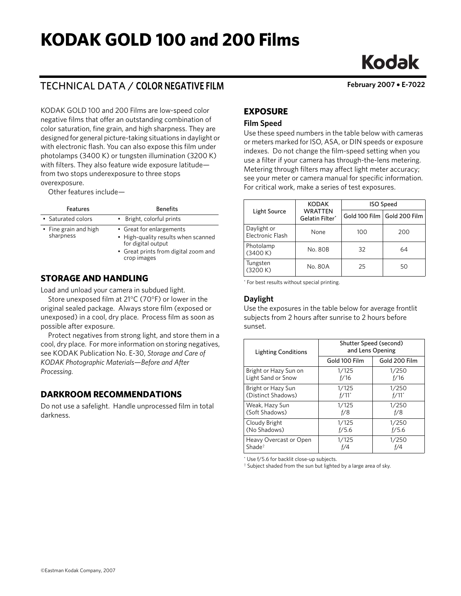# **KODAK GOLD 100 and 200 Films**

## TECHNICAL DATA / **COLOR NEGATIVE FILM February 2007** • **E-7022**

KODAK GOLD 100 and 200 Films are low-speed color negative films that offer an outstanding combination of color saturation, fine grain, and high sharpness. They are designed for general picture-taking situations in daylight or with electronic flash. You can also expose this film under photolamps (3400 K) or tungsten illumination (3200 K) with filters. They also feature wide exposure latitude from two stops underexposure to three stops overexposure.

Other features include—

| <b>Features</b>                    | <b>Benefits</b>                                                                                                                              |
|------------------------------------|----------------------------------------------------------------------------------------------------------------------------------------------|
| • Saturated colors                 | • Bright, colorful prints                                                                                                                    |
| • Fine grain and high<br>sharpness | • Great for enlargements<br>• High-quality results when scanned<br>for digital output<br>• Great prints from digital zoom and<br>crop images |

## **STORAGE AND HANDLING**

Load and unload your camera in subdued light.

Store unexposed film at 21°C (70°F) or lower in the original sealed package. Always store film (exposed or unexposed) in a cool, dry place. Process film as soon as possible after exposure.

Protect negatives from strong light, and store them in a cool, dry place. For more information on storing negatives, see KODAK Publication No. E-30, *Storage and Care of KODAK Photographic Materials—Before and After Processing.*

## **DARKROOM RECOMMENDATIONS**

Do not use a safelight. Handle unprocessed film in total darkness.

**EXPOSURE**

#### **Film Speed**

Use these speed numbers in the table below with cameras or meters marked for ISO, ASA, or DIN speeds or exposure indexes. Do not change the film-speed setting when you use a filter if your camera has through-the-lens metering. Metering through filters may affect light meter accuracy; see your meter or camera manual for specific information. For critical work, make a series of test exposures.

|                                            | <b>KODAK</b> | <b>ISO Speed</b> |                             |
|--------------------------------------------|--------------|------------------|-----------------------------|
| WRATTEN<br>Light Source<br>Gelatin Filter* |              |                  | Gold 100 Film Gold 200 Film |
| Daylight or<br><b>Electronic Flash</b>     | None         | 100              | 200                         |
| Photolamp<br>(3400 K)                      | No. 80B      | 32               | 64                          |
| Tungsten<br>(3200 K)                       | No. 80A      | 25               | 50                          |

\* For best results without special printing.

#### **Daylight**

Use the exposures in the table below for average frontlit subjects from 2 hours after sunrise to 2 hours before sunset.

| <b>Lighting Conditions</b> | Shutter Speed (second)<br>and Lens Opening |                     |
|----------------------------|--------------------------------------------|---------------------|
|                            | Gold 100 Film                              | Gold 200 Film       |
| Bright or Hazy Sun on      | 1/125                                      | 1/250               |
| Light Sand or Snow         | f/16                                       | f/16                |
| Bright or Hazy Sun         | 1/125                                      | 1/250               |
| (Distinct Shadows)         | $f/11$ <sup>*</sup>                        | $f/11$ <sup>*</sup> |
| Weak, Hazy Sun             | 1/125                                      | 1/250               |
| (Soft Shadows)             | f/8                                        | f/8                 |
| Cloudy Bright              | 1/125                                      | 1/250               |
| (No Shadows)               | f/5.6                                      | f/5.6               |
| Heavy Overcast or Open     | 1/125                                      | 1/250               |
| Shade <sup>†</sup>         | f/4                                        | f/4                 |

\* Use f/5.6 for backlit close-up subjects.

† Subject shaded from the sun but lighted by a large area of sky.

**Kodak**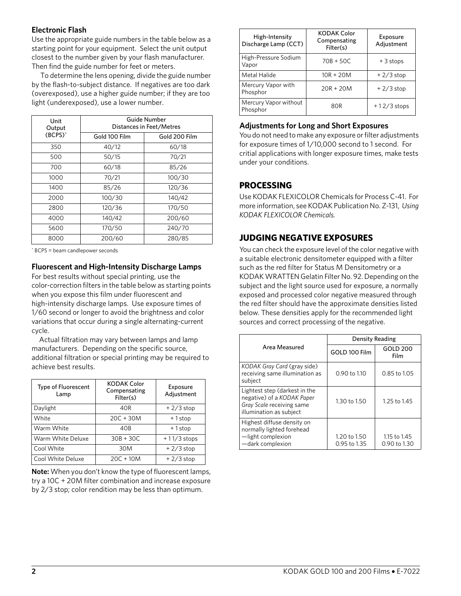#### **Electronic Flash**

Use the appropriate guide numbers in the table below as a starting point for your equipment. Select the unit output closest to the number given by your flash manufacturer. Then find the guide number for feet or meters.

 To determine the lens opening, divide the guide number by the flash-to-subject distance. If negatives are too dark (overexposed), use a higher guide number; if they are too light (underexposed), use a lower number.

| Unit<br>Output | Guide Number<br>Distances in Feet/Metres |               |  |
|----------------|------------------------------------------|---------------|--|
| (BCPS)*        | Gold 100 Film                            | Gold 200 Film |  |
| 350            | 40/12                                    | 60/18         |  |
| 500            | 50/15                                    | 70/21         |  |
| 700            | 60/18                                    | 85/26         |  |
| 1000           | 70/21                                    | 100/30        |  |
| 1400           | 85/26                                    | 120/36        |  |
| 2000           | 100/30                                   | 140/42        |  |
| 2800           | 120/36                                   | 170/50        |  |
| 4000           | 140/42                                   | 200/60        |  |
| 5600           | 170/50                                   | 240/70        |  |
| 8000           | 200/60                                   | 280/85        |  |

\* BCPS = beam candlepower seconds

#### **Fluorescent and High-Intensity Discharge Lamps**

For best results without special printing, use the color-correction filters in the table below as starting points when you expose this film under fluorescent and high-intensity discharge lamps. Use exposure times of 1/60 second or longer to avoid the brightness and color variations that occur during a single alternating-current cycle.

Actual filtration may vary between lamps and lamp manufacturers. Depending on the specific source, additional filtration or special printing may be required to achieve best results.

| <b>Type of Fluorescent</b><br>Lamp | <b>KODAK Color</b><br>Compensating<br>Filter(s) | Exposure<br>Adjustment |
|------------------------------------|-------------------------------------------------|------------------------|
| Daylight                           | 40R                                             | $+2/3$ stop            |
| White                              | $20C + 30M$                                     | $+1$ stop              |
| Warm White                         | 40B                                             | $+1$ stop              |
| Warm White Deluxe                  | $30B + 30C$                                     | $+11/3$ stops          |
| Cool White                         | 30M                                             | $+2/3$ stop            |
| Cool White Deluxe                  | $20C + 10M$                                     | $+2/3$ stop            |

**Note:** When you don't know the type of fluorescent lamps, try a 10C + 20M filter combination and increase exposure by 2/3 stop; color rendition may be less than optimum.

| High-Intensity<br>Discharge Lamp (CCT) | <b>KODAK Color</b><br>Compensating<br>Filter(s) | Exposure<br>Adjustment |
|----------------------------------------|-------------------------------------------------|------------------------|
| High-Pressure Sodium<br>Vapor          | $70B + 50C$                                     | $+3$ stops             |
| Metal Halide                           | $10R + 20M$                                     | $+2/3$ stop            |
| Mercury Vapor with<br>Phosphor         | $20R + 20M$                                     | $+2/3$ stop            |
| Mercury Vapor without<br>Phosphor      | 80 <sub>R</sub>                                 | $+12/3$ stops          |

#### **Adjustments for Long and Short Exposures**

You do not need to make any exposure or filter adjustments for exposure times of 1/10,000 second to 1 second. For critial applications with longer exposure times, make tests under your conditions.

## **PROCESSING**

Use KODAK FLEXICOLOR Chemicals for Process C-41. For more information, see KODAK Publication No. Z-131, *Using KODAK FLEXICOLOR Chemicals.*

## **JUDGING NEGATIVE EXPOSURES**

You can check the exposure level of the color negative with a suitable electronic densitometer equipped with a filter such as the red filter for Status M Densitometry or a KODAK WRATTEN Gelatin Filter No. 92. Depending on the subject and the light source used for exposure, a normally exposed and processed color negative measured through the red filter should have the approximate densities listed below. These densities apply for the recommended light sources and correct processing of the negative.

|                                                                                                                     | Density Reading              |                              |
|---------------------------------------------------------------------------------------------------------------------|------------------------------|------------------------------|
| Area Measured                                                                                                       | GOLD 100 Film                | GOLD 200<br>Film             |
| KODAK Gray Card (gray side)<br>receiving same illumination as<br>subject                                            | $0.90$ to $1.10$             | 0.85 to 1.05                 |
| Lightest step (darkest in the<br>negative) of a KODAK Paper<br>Gray Scale receiving same<br>illumination as subject | 1.30 to 1.50                 | 1.25 to 1.45                 |
| Highest diffuse density on<br>normally lighted forehead<br>-light complexion<br>-dark complexion                    | 1.20 to 1.50<br>0.95 to 1.35 | 1.15 to 1.45<br>0.90 to 1.30 |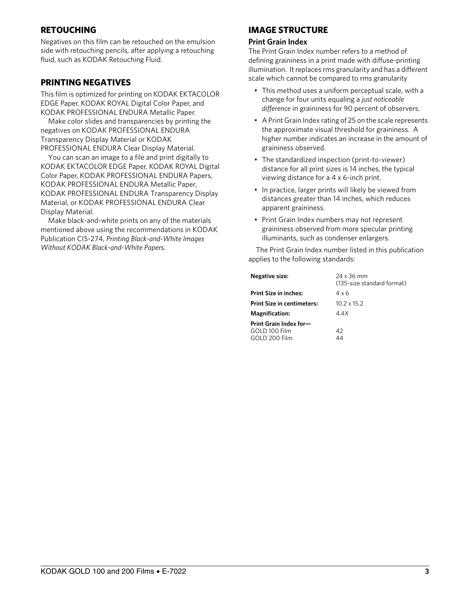## **RETOUCHING**

Negatives on this film can be retouched on the emulsion side with retouching pencils, after applying a retouching fluid, such as KODAK Retouching Fluid.

## **PRINTING NEGATIVES**

This film is optimized for printing on KODAK EKTACOLOR EDGE Paper, KODAK ROYAL Digital Color Paper, and KODAK PROFESSIONAL ENDURA Metallic Paper.

Make color slides and transparencies by printing the negatives on KODAK PROFESSIONAL ENDURA Transparency Display Material or KODAK PROFESSIONAL ENDURA Clear Display Material.

You can scan an image to a file and print digitally to KODAK EKTACOLOR EDGE Paper, KODAK ROYAL Digital Color Paper, KODAK PROFESSIONAL ENDURA Papers, KODAK PROFESSIONAL ENDURA Metallic Paper, KODAK PROFESSIONAL ENDURA Transparency Display Material, or KODAK PROFESSIONAL ENDURA Clear Display Material.

Make black-and-white prints on any of the materials mentioned above using the recommendations in KODAK Publication CIS-274, *Printing Black-and-White Images Without KODAK Black-and-White Papers*.

## **IMAGE STRUCTURE**

#### **Print Grain Index**

The Print Grain Index number refers to a method of defining graininess in a print made with diffuse-printing illumination. It replaces rms granularity and has a different scale which cannot be compared to rms granularity

- This method uses a uniform perceptual scale, with a change for four units equaling a *just noticeable difference* in graininess for 90 percent of observers.
- A Print Grain Index rating of 25 on the scale represents the approximate visual threshold for graininess. A higher number indicates an increase in the amount of graininess observed.
- The standardized inspection (print-to-viewer) distance for all print sizes is 14 inches, the typical viewing distance for a 4 x 6-inch print.
- In practice, larger prints will likely be viewed from distances greater than 14 inches, which reduces apparent graininess.
- Print Grain Index numbers may not represent graininess observed from more specular printing illuminants, such as condenser enlargers.

The Print Grain Index number listed in this publication applies to the following standards:

| <b>Negative size:</b>                                    | 24 x 36 mm<br>(135-size standard format) |
|----------------------------------------------------------|------------------------------------------|
| <b>Print Size in inches:</b>                             | 4 x 6                                    |
| <b>Print Size in centimeters:</b>                        | $10.2 \times 15.2$                       |
| Magnification:                                           | 4.4X                                     |
| Print Grain Index for-<br>GOLD 100 Film<br>GOLD 200 Film | 42<br>44                                 |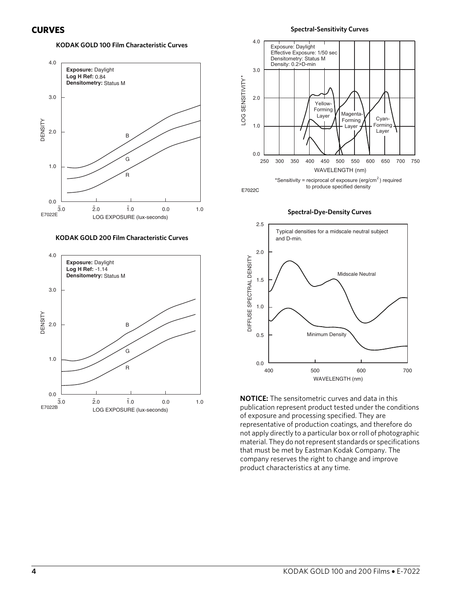#### **KODAK GOLD 100 Film Characteristic Curves**



**KODAK GOLD 200 Film Characteristic Curves**





**Spectral-Dye-Density Curves**



**NOTICE:** The sensitometric curves and data in this publication represent product tested under the conditions of exposure and processing specified. They are representative of production coatings, and therefore do not apply directly to a particular box or roll of photographic material. They do not represent standards or specifications that must be met by Eastman Kodak Company. The company reserves the right to change and improve product characteristics at any time.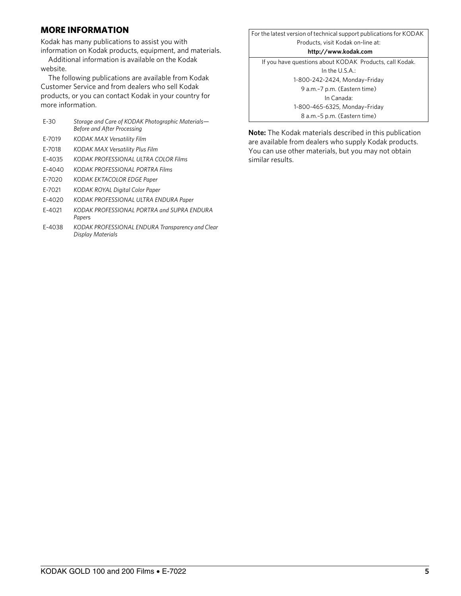## **MORE INFORMATION**

Kodak has many publications to assist you with

information on Kodak products, equipment, and materials. Additional information is available on the Kodak website.

The following publications are available from Kodak Customer Service and from dealers who sell Kodak products, or you can contact Kodak in your country for more information.

| $E-30$ | Storage and Care of KODAK Photographic Materials-<br>Before and After Processing |
|--------|----------------------------------------------------------------------------------|
| E-7019 | KODAK MAX Versatility Film                                                       |
| E-7018 | KODAK MAX Versatility Plus Film                                                  |
| E-4035 | KODAK PROFESSIONAL ULTRA COLOR Films                                             |
| E-4040 | KODAK PROFESSIONAL PORTRA Films                                                  |
| E-7020 | KODAK EKTACOLOR EDGE Paper                                                       |
| E-7021 | <b>KODAK ROYAL Digital Color Paper</b>                                           |
| F-4020 | KODAK PROFESSIONAL ULTRA ENDURA Paper                                            |
| F-4021 | KODAK PROFESSIONAL PORTRA and SUPRA FNDURA<br>Papers                             |
|        |                                                                                  |

E-4038 *KODAK PROFESSIONAL ENDURA Transparency and Clear Display Materials*

For the latest version of technical support publications for KODAK Products, visit Kodak on-line at: **http://www.kodak.com** If you have questions about KODAK Products, call Kodak. In the U.S.A.: 1-800-242-2424, Monday–Friday 9 a.m.–7 p.m. (Eastern time) In Canada: 1-800-465-6325, Monday–Friday 8 a.m.–5 p.m. (Eastern time)

**Note:** The Kodak materials described in this publication are available from dealers who supply Kodak products. You can use other materials, but you may not obtain similar results.